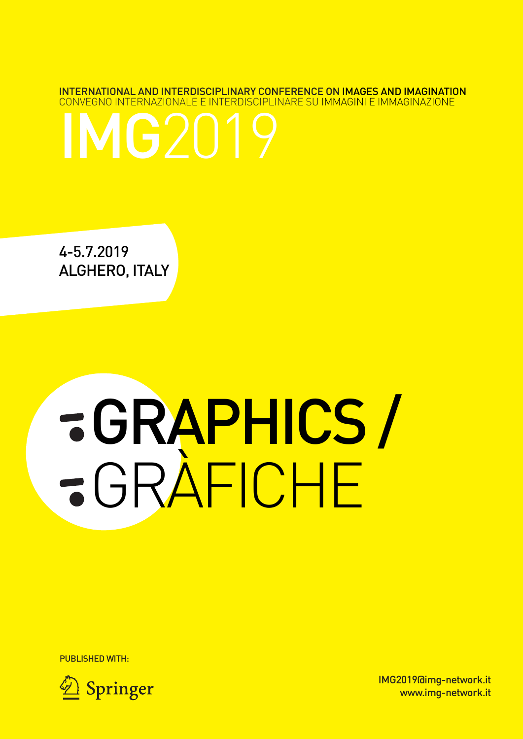INTERNATIONAL AND INTERDISCIPLINARY CONFERENCE ON IMAGES AND IMAGINATION CONVEGNO INTERNAZIONALE E INTERDISCIPLINARE SU IMMAGINI E IMMAGINAZIONE



4-5.7.2019 ALGHERO, ITALY

# GRAPHICS/ GRÀFICHE

PUBLISHED WITH:



IMG2019@img-network.it www.img-network.it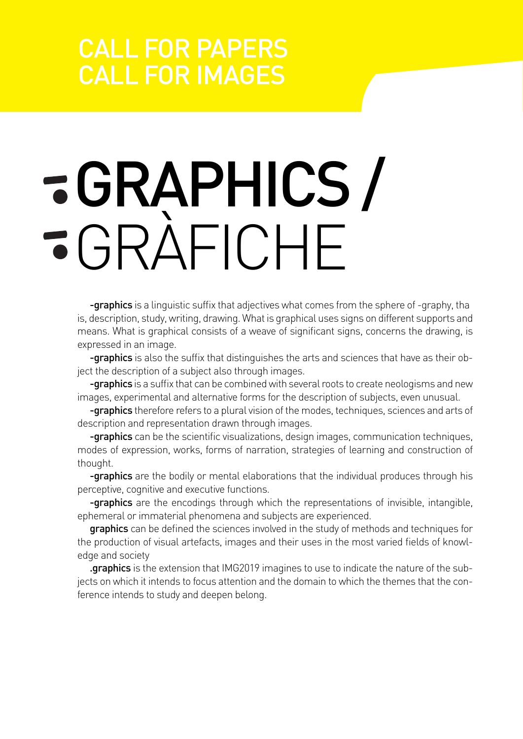### CALL FOR PAPERS CALL FOR IMAGES

# GRAPHICS/ GRÀFICHE

-graphics is a linguistic suffix that adjectives what comes from the sphere of -graphy, tha is, description, study, writing, drawing. What is graphical uses signs on different supports and means. What is graphical consists of a weave of significant signs, concerns the drawing, is expressed in an image.

-graphics is also the suffix that distinguishes the arts and sciences that have as their object the description of a subject also through images.

**-graphics** is a suffix that can be combined with several roots to create neologisms and new images, experimental and alternative forms for the description of subjects, even unusual.

**-graphics** therefore refers to a plural vision of the modes, techniques, sciences and arts of description and representation drawn through images.

**-graphics** can be the scientific visualizations, design images, communication techniques, modes of expression, works, forms of narration, strategies of learning and construction of thought.

**-graphics** are the bodily or mental elaborations that the individual produces through his perceptive, cognitive and executive functions.

**-graphics** are the encodings through which the representations of invisible, intangible, ephemeral or immaterial phenomena and subjects are experienced.

graphics can be defined the sciences involved in the study of methods and techniques for the production of visual artefacts, images and their uses in the most varied fields of knowledge and society

.graphics is the extension that IMG2019 imagines to use to indicate the nature of the subjects on which it intends to focus attention and the domain to which the themes that the conference intends to study and deepen belong.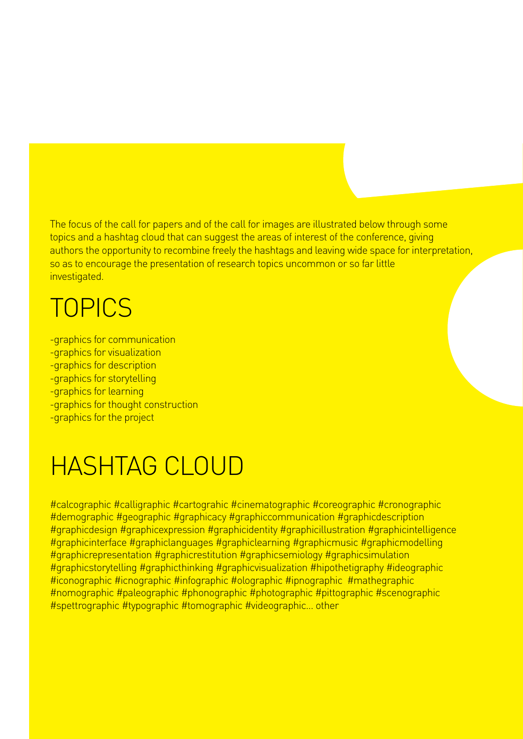The focus of the call for papers and of the call for images are illustrated below through some topics and a hashtag cloud that can suggest the areas of interest of the conference, giving authors the opportunity to recombine freely the hashtags and leaving wide space for interpretation, so as to encourage the presentation of research topics uncommon or so far little investigated.

### **TOPICS**

-graphics for communication -graphics for visualization -graphics for description -graphics for storytelling -graphics for learning -graphics for thought construction -graphics for the project

### HASHTAG CLOUD

#calcographic #calligraphic #cartograhic #cinematographic #coreographic #cronographic #demographic #geographic #graphicacy #graphiccommunication #graphicdescription #graphicdesign #graphicexpression #graphicidentity #graphicillustration #graphicintelligence #graphicinterface #graphiclanguages #graphiclearning #graphicmusic #graphicmodelling #graphicrepresentation #graphicrestitution #graphicsemiology #graphicsimulation #graphicstorytelling #graphicthinking #graphicvisualization #hipothetigraphy #ideographic #iconographic #icnographic #infographic #olographic #ipnographic #mathegraphic #nomographic #paleographic #phonographic #photographic #pittographic #scenographic #spettrographic #typographic #tomographic #videographic… other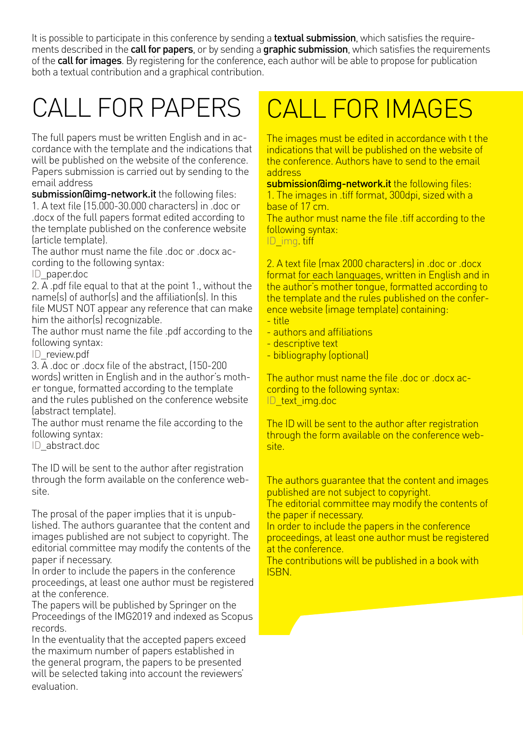It is possible to participate in this conference by sending a textual submission, which satisfies the requirements described in the **call for papers**, or by sending a **graphic submission**, which satisfies the requirements of the **call for images**. By registering for the conference, each author will be able to propose for publication both a textual contribution and a graphical contribution.

### CALL FOR PAPERS

The full papers must be written English and in accordance with the template and the indications that will be published on the website of the conference. Papers submission is carried out by sending to the email address

submission@img-network.it the following files: 1. A text file (15.000-30.000 characters) in .doc or .docx of the full papers format edited according to the template published on the conference website (article template).

The author must name the file .doc or .docx according to the following syntax:

ID\_paper.doc

2. A .pdf file equal to that at the point 1., without the name(s) of author(s) and the affiliation(s). In this file MUST NOT appear any reference that can make him the aithor(s) recognizable.

The author must name the file .pdf according to the following syntax:

ID\_review.pdf

3. A .doc or .docx file of the abstract, (150-200 words) written in English and in the author's mother tongue, formatted according to the template and the rules published on the conference website (abstract template).

The author must rename the file according to the following syntax:

ID\_abstract.doc

The ID will be sent to the author after registration through the form available on the conference website.

The prosal of the paper implies that it is unpublished. The authors guarantee that the content and images published are not subject to copyright. The editorial committee may modify the contents of the paper if necessary.

In order to include the papers in the conference proceedings, at least one author must be registered at the conference.

The papers will be published by Springer on the Proceedings of the IMG2019 and indexed as Scopus records.

In the eventuality that the accepted papers exceed the maximum number of papers established in the general program, the papers to be presented will be selected taking into account the reviewers' evaluation.

### CALL FOR IMAGES

The images must be edited in accordance with t the indications that will be published on the website of the conference. Authors have to send to the email address

submission@img-network.it the following files: 1. The images in .tiff format, 300dpi, sized with a base of 17 cm.

The author must name the file .tiff according to the following syntax:

ID\_img\_tiff

2. A text file (max 2000 characters) in .doc or .docx format for each languages, written in English and in the author's mother tongue, formatted according to the template and the rules published on the conference website (image template) containing:

- title
- authors and affiliations
- descriptive text
- bibliography (optional)

The author must name the file .doc or .docx according to the following syntax: ID\_text\_img.doc

The ID will be sent to the author after registration through the form available on the conference website.

The authors guarantee that the content and images published are not subject to copyright.

The editorial committee may modify the contents of the paper if necessary.

In order to include the papers in the conference proceedings, at least one author must be registered at the conference.

The contributions will be published in a book with ISBN.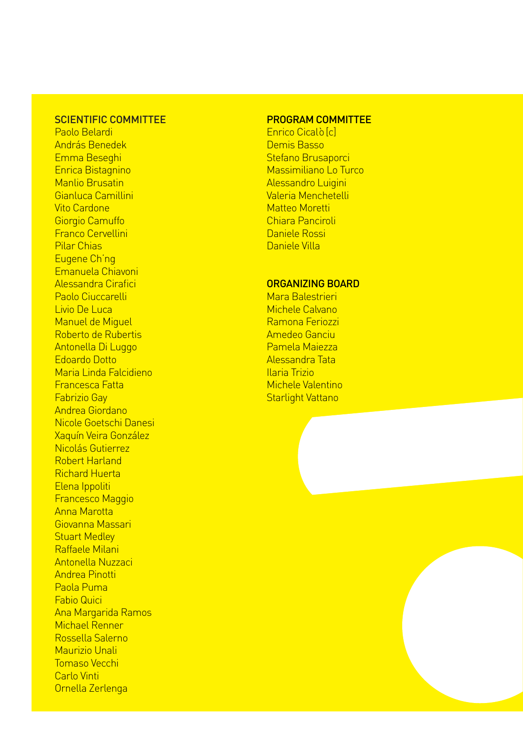#### SCIENTIFIC COMMITTEE

Paolo Belardi András Benedek Emma Beseghi Enrica Bistagnino Manlio Brusatin Gianluca Camillini Vito Cardone Giorgio Camuffo Franco Cervellini Pilar Chias Eugene Ch'ng Emanuela Chiavoni Alessandra Cirafici Paolo Ciuccarelli Livio De Luca Manuel de Miguel Roberto de Rubertis Antonella Di Luggo Edoardo Dotto Maria Linda Falcidieno Francesca Fatta Fabrizio Gay Andrea Giordano Nicole Goetschi Danesi Xaquín Veira González Nicolás Gutierrez Robert Harland Richard Huerta Elena Ippoliti Francesco Maggio Anna Marotta Giovanna Massari Stuart Medley Raffaele Milani Antonella Nuzzaci Andrea Pinotti Paola Puma Fabio Quici Ana Margarida Ramos Michael Renner Rossella Salerno Maurizio Unali Tomaso Vecchi Carlo Vinti Ornella Zerlenga

#### PROGRAM COMMITTEE

Enrico Cicalò [c] Demis Basso Stefano Brusaporci Massimiliano Lo Turco Alessandro Luigini Valeria Menchetelli Matteo Moretti Chiara Panciroli Daniele Rossi Daniele Villa

#### ORGANIZING BOARD

Mara Balestrieri Michele Calvano Ramona Feriozzi Amedeo Ganciu Pamela Maiezza Alessandra Tata Ilaria Trizio Michele Valentino Starlight Vattano